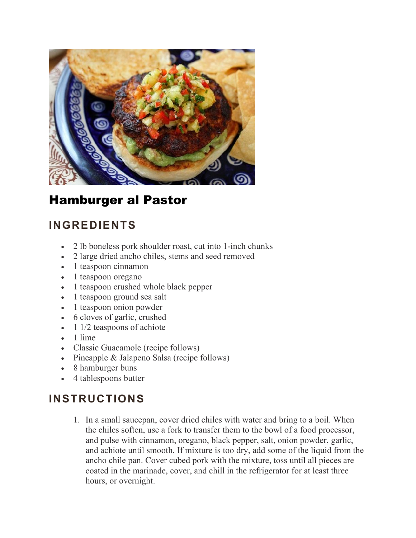

## Hamburger al Pastor

## **INGREDIENTS**

- 2 lb boneless pork shoulder roast, cut into 1-inch chunks
- 2 large dried ancho chiles, stems and seed removed
- 1 teaspoon cinnamon
- 1 teaspoon oregano
- 1 teaspoon crushed whole black pepper
- 1 teaspoon ground sea salt
- 1 teaspoon onion powder
- 6 cloves of garlic, crushed
- $\bullet$  1 1/2 teaspoons of achiote
- 1 lime
- Classic Guacamole (recipe follows)
- Pineapple & Jalapeno Salsa (recipe follows)
- 8 hamburger buns
- 4 tablespoons butter

## **INSTRUCTIONS**

1. In a small saucepan, cover dried chiles with water and bring to a boil. When the chiles soften, use a fork to transfer them to the bowl of a food processor, and pulse with cinnamon, oregano, black pepper, salt, onion powder, garlic, and achiote until smooth. If mixture is too dry, add some of the liquid from the ancho chile pan. Cover cubed pork with the mixture, toss until all pieces are coated in the marinade, cover, and chill in the refrigerator for at least three hours, or overnight.